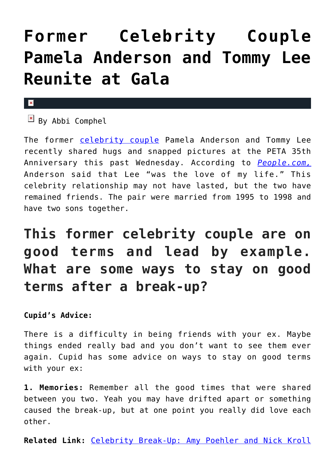## **[Former Celebrity Couple](https://cupidspulse.com/100168/former-celebrity-couple-pamela-anderson-tommy-lee-reunite-gala/) [Pamela Anderson and Tommy Lee](https://cupidspulse.com/100168/former-celebrity-couple-pamela-anderson-tommy-lee-reunite-gala/) [Reunite at Gala](https://cupidspulse.com/100168/former-celebrity-couple-pamela-anderson-tommy-lee-reunite-gala/)**

## $\pmb{\times}$

 $\boxed{\times}$  By Abbi Comphel

The former [celebrity couple](http://cupidspulse.com/celebrity-relationships/break-up-divorce/) Pamela Anderson and Tommy Lee recently shared hugs and snapped pictures at the PETA 35th Anniversary this past Wednesday. According to *[People.com,](http://www.people.com/article/pamela-anderson-tommy-lee-friendly-reunion-peta-gala)* Anderson said that Lee "was the love of my life." This celebrity relationship may not have lasted, but the two have remained friends. The pair were married from 1995 to 1998 and have two sons together.

## **This former celebrity couple are on good terms and lead by example. What are some ways to stay on good terms after a break-up?**

**Cupid's Advice:**

There is a difficulty in being friends with your ex. Maybe things ended really bad and you don't want to see them ever again. Cupid has some advice on ways to stay on good terms with your ex:

**1. Memories:** Remember all the good times that were shared between you two. Yeah you may have drifted apart or something caused the break-up, but at one point you really did love each other.

**Related Link:** [Celebrity Break-Up: Amy Poehler and Nick Kroll](http://cupidspulse.com/99970/celebrity-break-up-amy-poehler-nick-kroll/)